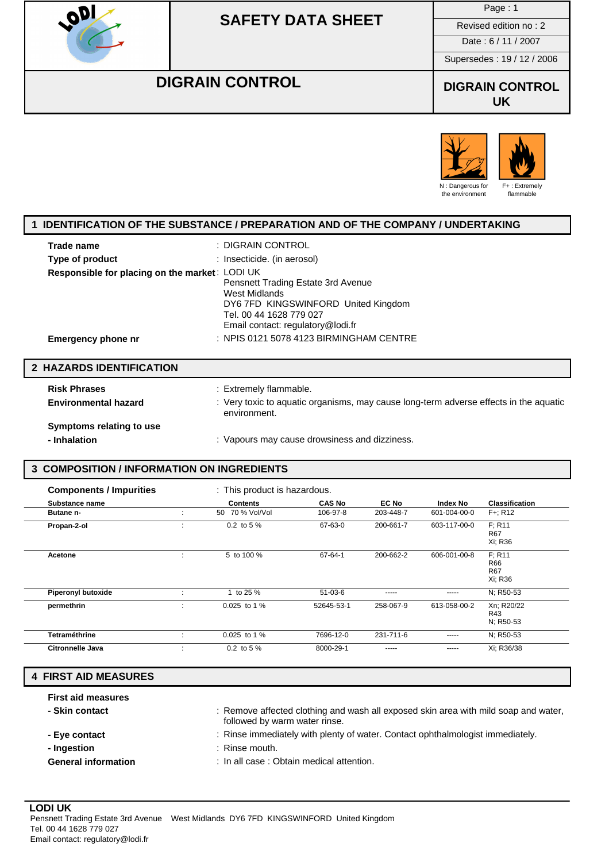

Page : 1

Date : 6 / 11 / 2007

Supersedes : 19 / 12 / 2006

## **DIGRAIN CONTROL DIGRAIN CONTROL**

**UK**



### **1 IDENTIFICATION OF THE SUBSTANCE / PREPARATION AND OF THE COMPANY / UNDERTAKING**

| Trade name                                     | : DIGRAIN CONTROL                       |
|------------------------------------------------|-----------------------------------------|
| Type of product                                | : Insecticide. (in aerosol)             |
| Responsible for placing on the market: LODI UK |                                         |
|                                                | Pensnett Trading Estate 3rd Avenue      |
|                                                | West Midlands                           |
|                                                | DY6 7FD KINGSWINFORD United Kingdom     |
|                                                | Tel. 00 44 1628 779 027                 |
|                                                | Email contact: regulatory@lodi.fr       |
| <b>Emergency phone nr</b>                      | : NPIS 0121 5078 4123 BIRMINGHAM CENTRE |
|                                                |                                         |

#### **2 HAZARDS IDENTIFICATION**

| <b>Risk Phrases</b>         | : Extremely flammable.                                                                                |
|-----------------------------|-------------------------------------------------------------------------------------------------------|
| <b>Environmental hazard</b> | : Very toxic to aguatic organisms, may cause long-term adverse effects in the aguatic<br>environment. |
| Symptoms relating to use    |                                                                                                       |
| - Inhalation                | : Vapours may cause drowsiness and dizziness.                                                         |

#### **3 COMPOSITION / INFORMATION ON INGREDIENTS**

| <b>Components / Impurities</b> |              | : This product is hazardous. |               |           |              |                                        |
|--------------------------------|--------------|------------------------------|---------------|-----------|--------------|----------------------------------------|
| Substance name                 |              | <b>Contents</b>              | <b>CAS No</b> | EC No     | Index No     | <b>Classification</b>                  |
| <b>Butane n-</b>               |              | 70 % Vol/Vol<br>50           | 106-97-8      | 203-448-7 | 601-004-00-0 | $F +: R12$                             |
| Propan-2-ol                    | $\mathbf{r}$ | 0.2 to 5 %                   | 67-63-0       | 200-661-7 | 603-117-00-0 | F: R11<br><b>R67</b><br>Xi: R36        |
| Acetone                        |              | 5 to 100 %                   | 67-64-1       | 200-662-2 | 606-001-00-8 | F: R11<br>R66<br><b>R67</b><br>Xi: R36 |
| <b>Piperonyl butoxide</b>      |              | 1 to 25 %                    | $51-03-6$     | -----     | -----        | N: R50-53                              |
| permethrin                     | ÷            | 0.025 to 1 %                 | 52645-53-1    | 258-067-9 | 613-058-00-2 | Xn; R20/22<br>R43<br>N: R50-53         |
| <b>Tetraméthrine</b>           | ÷            | 0.025 to 1 %                 | 7696-12-0     | 231-711-6 | -----        | N; R50-53                              |
| Citronnelle Java               |              | 0.2 to 5 %                   | 8000-29-1     | -----     | -----        | Xi; R36/38                             |

### **4 FIRST AID MEASURES**

| <b>First aid measures</b><br>- Skin contact | : Remove affected clothing and wash all exposed skin area with mild soap and water,<br>followed by warm water rinse. |
|---------------------------------------------|----------------------------------------------------------------------------------------------------------------------|
| - Eye contact                               | : Rinse immediately with plenty of water. Contact ophthalmologist immediately.                                       |
| - Ingestion                                 | $:$ Rinse mouth.                                                                                                     |
| <b>General information</b>                  | : In all case : Obtain medical attention.                                                                            |

#### **LODI UK** Pensnett Trading Estate 3rd Avenue West Midlands DY6 7FD KINGSWINFORD United Kingdom Tel. 00 44 1628 779 027 Email contact: regulatory@lodi.fr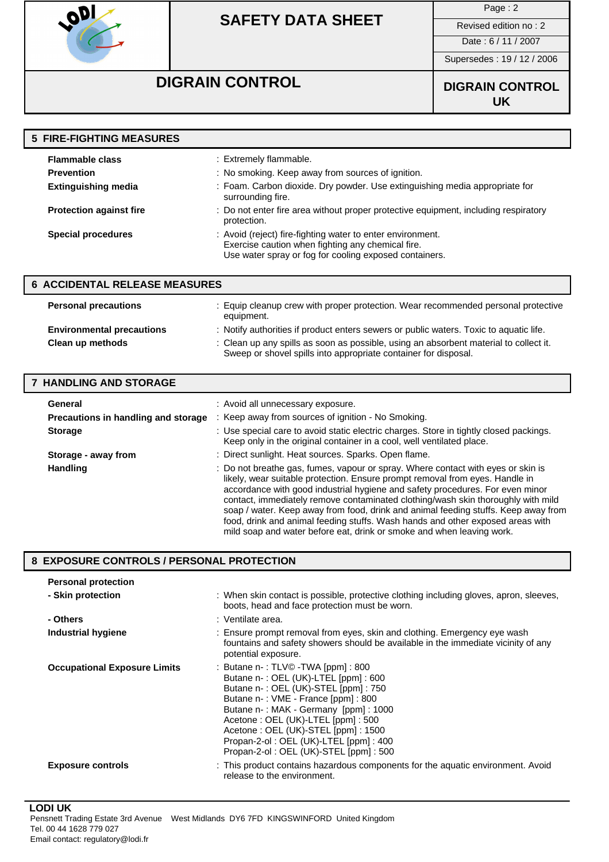

Page : 2

Date : 6 / 11 / 2007

Supersedes : 19 / 12 / 2006

# **DIGRAIN CONTROL DIGRAIN CONTROL**

**UK**

| <b>5 FIRE-FIGHTING MEASURES</b> |                                                                                                                                                                           |
|---------------------------------|---------------------------------------------------------------------------------------------------------------------------------------------------------------------------|
| <b>Flammable class</b>          | : Extremely flammable.                                                                                                                                                    |
| <b>Prevention</b>               | : No smoking. Keep away from sources of ignition.                                                                                                                         |
| <b>Extinguishing media</b>      | : Foam. Carbon dioxide. Dry powder. Use extinguishing media appropriate for<br>surrounding fire.                                                                          |
| <b>Protection against fire</b>  | : Do not enter fire area without proper protective equipment, including respiratory<br>protection.                                                                        |
| <b>Special procedures</b>       | : Avoid (reject) fire-fighting water to enter environment.<br>Exercise caution when fighting any chemical fire.<br>Use water spray or fog for cooling exposed containers. |

| <b>6 ACCIDENTAL RELEASE MEASURES</b> |                                                                                                                                                          |  |  |
|--------------------------------------|----------------------------------------------------------------------------------------------------------------------------------------------------------|--|--|
| <b>Personal precautions</b>          | : Equip cleanup crew with proper protection. Wear recommended personal protective<br>equipment.                                                          |  |  |
| <b>Environmental precautions</b>     | : Notify authorities if product enters sewers or public waters. Toxic to aquatic life.                                                                   |  |  |
| Clean up methods                     | : Clean up any spills as soon as possible, using an absorbent material to collect it.<br>Sweep or shovel spills into appropriate container for disposal. |  |  |

#### **7 HANDLING AND STORAGE**

| General<br>Precautions in handling and storage | : Avoid all unnecessary exposure.<br>: Keep away from sources of ignition - No Smoking.                                                                                                                                                                                                                                                                                                                                                                                                                                                                                                |
|------------------------------------------------|----------------------------------------------------------------------------------------------------------------------------------------------------------------------------------------------------------------------------------------------------------------------------------------------------------------------------------------------------------------------------------------------------------------------------------------------------------------------------------------------------------------------------------------------------------------------------------------|
| <b>Storage</b>                                 | : Use special care to avoid static electric charges. Store in tightly closed packings.<br>Keep only in the original container in a cool, well ventilated place.                                                                                                                                                                                                                                                                                                                                                                                                                        |
| Storage - away from                            | : Direct sunlight. Heat sources. Sparks. Open flame.                                                                                                                                                                                                                                                                                                                                                                                                                                                                                                                                   |
| <b>Handling</b>                                | : Do not breathe gas, fumes, vapour or spray. Where contact with eyes or skin is<br>likely, wear suitable protection. Ensure prompt removal from eyes. Handle in<br>accordance with good industrial hygiene and safety procedures. For even minor<br>contact, immediately remove contaminated clothing/wash skin thoroughly with mild<br>soap / water. Keep away from food, drink and animal feeding stuffs. Keep away from<br>food, drink and animal feeding stuffs. Wash hands and other exposed areas with<br>mild soap and water before eat, drink or smoke and when leaving work. |

#### **8 EXPOSURE CONTROLS / PERSONAL PROTECTION**

| <b>Personal protection</b>          |                                                                                                                                                                                                                                                                                                                                                                |
|-------------------------------------|----------------------------------------------------------------------------------------------------------------------------------------------------------------------------------------------------------------------------------------------------------------------------------------------------------------------------------------------------------------|
| - Skin protection                   | : When skin contact is possible, protective clothing including gloves, apron, sleeves,<br>boots, head and face protection must be worn.                                                                                                                                                                                                                        |
| - Others                            | : Ventilate area.                                                                                                                                                                                                                                                                                                                                              |
| Industrial hygiene                  | : Ensure prompt removal from eyes, skin and clothing. Emergency eye wash<br>fountains and safety showers should be available in the immediate vicinity of any<br>potential exposure.                                                                                                                                                                           |
| <b>Occupational Exposure Limits</b> | : Butane $n-$ : TLV© -TWA [ppm] : 800<br>Butane n-: OEL (UK)-LTEL [ppm]: 600<br>Butane n-: OEL (UK)-STEL [ppm]: 750<br>Butane n-: VME - France [ppm]: 800<br>Butane n-: MAK - Germany [ppm]: 1000<br>Acetone: OEL (UK)-LTEL [ppm]: 500<br>Acetone: OEL (UK)-STEL [ppm]: 1500<br>Propan-2-ol: OEL (UK)-LTEL [ppm]: 400<br>Propan-2-ol: OEL (UK)-STEL [ppm]: 500 |
| <b>Exposure controls</b>            | : This product contains hazardous components for the aquatic environment. Avoid<br>release to the environment.                                                                                                                                                                                                                                                 |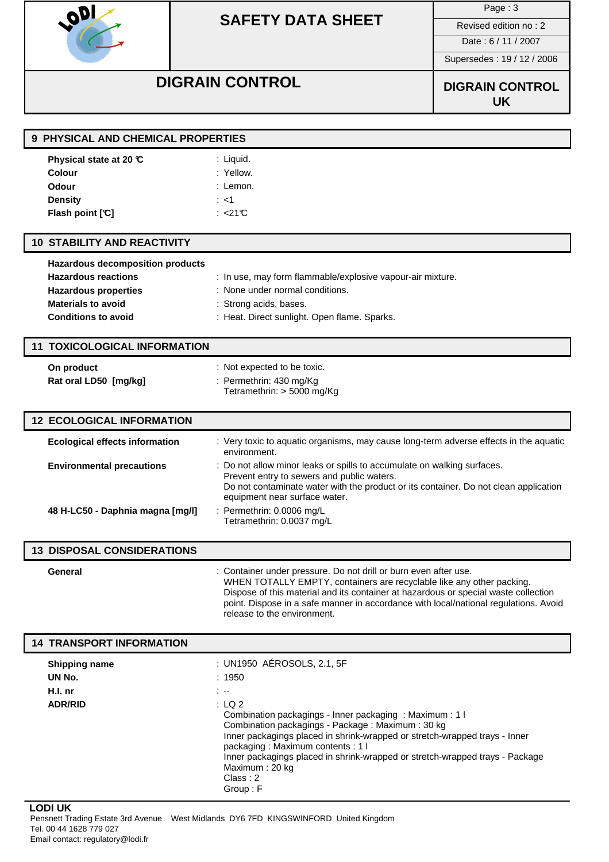

Page : 3

Date : 6 / 11 / 2007

Supersedes : 19 / 12 / 2006

# **DIGRAIN CONTROL DIGRAIN CONTROL**

**UK**

| 9 PHYSICAL AND CHEMICAL PROPERTIES    |                                                                                                                                                                                                                                                                                                                                                       |  |  |
|---------------------------------------|-------------------------------------------------------------------------------------------------------------------------------------------------------------------------------------------------------------------------------------------------------------------------------------------------------------------------------------------------------|--|--|
| Physical state at 20 ℃                | : Liquid.                                                                                                                                                                                                                                                                                                                                             |  |  |
| Colour                                | : Yellow.                                                                                                                                                                                                                                                                                                                                             |  |  |
| Odour                                 | : Lemon.                                                                                                                                                                                                                                                                                                                                              |  |  |
| <b>Density</b>                        | : <1                                                                                                                                                                                                                                                                                                                                                  |  |  |
| Flash point [°C]                      | : $<$ 21°C                                                                                                                                                                                                                                                                                                                                            |  |  |
| <b>10 STABILITY AND REACTIVITY</b>    |                                                                                                                                                                                                                                                                                                                                                       |  |  |
| Hazardous decomposition products      |                                                                                                                                                                                                                                                                                                                                                       |  |  |
| <b>Hazardous reactions</b>            | : In use, may form flammable/explosive vapour-air mixture.                                                                                                                                                                                                                                                                                            |  |  |
| <b>Hazardous properties</b>           | : None under normal conditions.                                                                                                                                                                                                                                                                                                                       |  |  |
| <b>Materials to avoid</b>             | : Strong acids, bases.                                                                                                                                                                                                                                                                                                                                |  |  |
| <b>Conditions to avoid</b>            | : Heat. Direct sunlight. Open flame. Sparks.                                                                                                                                                                                                                                                                                                          |  |  |
| <b>11 TOXICOLOGICAL INFORMATION</b>   |                                                                                                                                                                                                                                                                                                                                                       |  |  |
| On product                            | : Not expected to be toxic.                                                                                                                                                                                                                                                                                                                           |  |  |
| Rat oral LD50 [mg/kg]                 | : Permethrin: 430 mg/Kg                                                                                                                                                                                                                                                                                                                               |  |  |
|                                       | Tetramethrin: > 5000 mg/Kg                                                                                                                                                                                                                                                                                                                            |  |  |
| <b>12 ECOLOGICAL INFORMATION</b>      |                                                                                                                                                                                                                                                                                                                                                       |  |  |
| <b>Ecological effects information</b> | : Very toxic to aquatic organisms, may cause long-term adverse effects in the aquatic<br>environment.                                                                                                                                                                                                                                                 |  |  |
| <b>Environmental precautions</b>      | : Do not allow minor leaks or spills to accumulate on walking surfaces.<br>Prevent entry to sewers and public waters.<br>Do not contaminate water with the product or its container. Do not clean application<br>equipment near surface water.                                                                                                        |  |  |
| 48 H-LC50 - Daphnia magna [mg/l]      | : Permethrin: 0.0006 mg/L<br>Tetramethrin: 0.0037 mg/L                                                                                                                                                                                                                                                                                                |  |  |
| <b>13 DISPOSAL CONSIDERATIONS</b>     |                                                                                                                                                                                                                                                                                                                                                       |  |  |
| General                               | Container under pressure. Do not drill or burn even after use.<br>WHEN TOTALLY EMPTY, containers are recyclable like any other packing.<br>Dispose of this material and its container at hazardous or special waste collection<br>point. Dispose in a safe manner in accordance with local/national regulations. Avoid<br>release to the environment. |  |  |
| <b>14 TRANSPORT INFORMATION</b>       |                                                                                                                                                                                                                                                                                                                                                       |  |  |
| <b>Shipping name</b>                  | : UN1950 AÉROSOLS, 2.1, 5F                                                                                                                                                                                                                                                                                                                            |  |  |
| UN No.                                | : 1950                                                                                                                                                                                                                                                                                                                                                |  |  |
| H.I. nr                               | $\sim$ $-$                                                                                                                                                                                                                                                                                                                                            |  |  |
| <b>ADR/RID</b>                        | : LQ2<br>Combination packagings - Inner packaging: Maximum: 1 I<br>Combination packagings - Package: Maximum: 30 kg<br>Inner packagings placed in shrink-wrapped or stretch-wrapped trays - Inner<br>packaging: Maximum contents: 1 l<br>Inner packagings placed in shrink-wrapped or stretch-wrapped trays - Package<br>Maximum: 20 kg               |  |  |

**LODI UK**

Pensnett Trading Estate 3rd Avenue West Midlands DY6 7FD KINGSWINFORD United Kingdom Tel. 00 44 1628 779 027 Email contact: regulatory@lodi.fr

Class : 2 Group : F